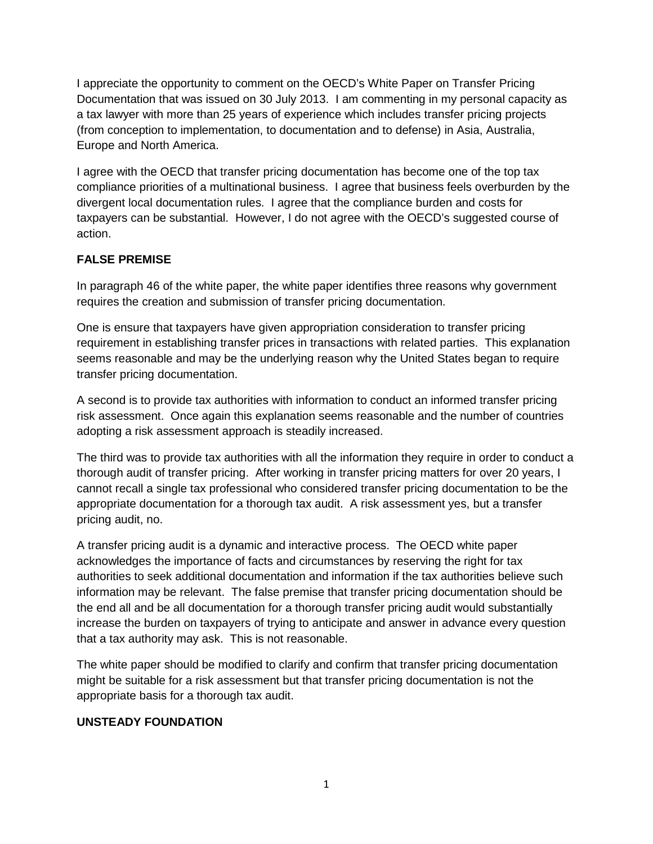I appreciate the opportunity to comment on the OECD's White Paper on Transfer Pricing Documentation that was issued on 30 July 2013. I am commenting in my personal capacity as a tax lawyer with more than 25 years of experience which includes transfer pricing projects (from conception to implementation, to documentation and to defense) in Asia, Australia, Europe and North America.

I agree with the OECD that transfer pricing documentation has become one of the top tax compliance priorities of a multinational business. I agree that business feels overburden by the divergent local documentation rules. I agree that the compliance burden and costs for taxpayers can be substantial. However, I do not agree with the OECD's suggested course of action.

# **FALSE PREMISE**

In paragraph 46 of the white paper, the white paper identifies three reasons why government requires the creation and submission of transfer pricing documentation.

One is ensure that taxpayers have given appropriation consideration to transfer pricing requirement in establishing transfer prices in transactions with related parties. This explanation seems reasonable and may be the underlying reason why the United States began to require transfer pricing documentation.

A second is to provide tax authorities with information to conduct an informed transfer pricing risk assessment. Once again this explanation seems reasonable and the number of countries adopting a risk assessment approach is steadily increased.

The third was to provide tax authorities with all the information they require in order to conduct a thorough audit of transfer pricing. After working in transfer pricing matters for over 20 years, I cannot recall a single tax professional who considered transfer pricing documentation to be the appropriate documentation for a thorough tax audit. A risk assessment yes, but a transfer pricing audit, no.

A transfer pricing audit is a dynamic and interactive process. The OECD white paper acknowledges the importance of facts and circumstances by reserving the right for tax authorities to seek additional documentation and information if the tax authorities believe such information may be relevant. The false premise that transfer pricing documentation should be the end all and be all documentation for a thorough transfer pricing audit would substantially increase the burden on taxpayers of trying to anticipate and answer in advance every question that a tax authority may ask. This is not reasonable.

The white paper should be modified to clarify and confirm that transfer pricing documentation might be suitable for a risk assessment but that transfer pricing documentation is not the appropriate basis for a thorough tax audit.

# **UNSTEADY FOUNDATION**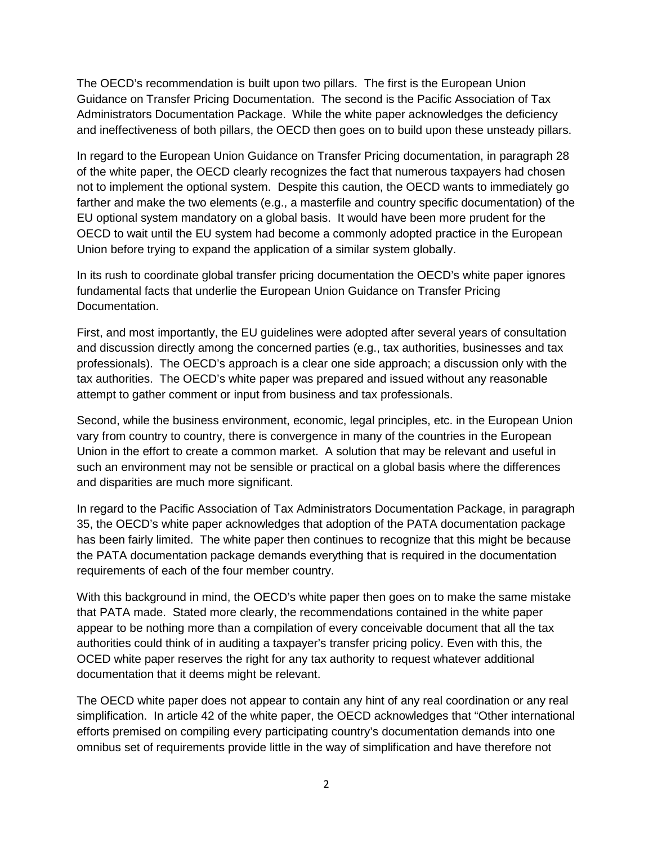The OECD's recommendation is built upon two pillars. The first is the European Union Guidance on Transfer Pricing Documentation. The second is the Pacific Association of Tax Administrators Documentation Package. While the white paper acknowledges the deficiency and ineffectiveness of both pillars, the OECD then goes on to build upon these unsteady pillars.

In regard to the European Union Guidance on Transfer Pricing documentation, in paragraph 28 of the white paper, the OECD clearly recognizes the fact that numerous taxpayers had chosen not to implement the optional system. Despite this caution, the OECD wants to immediately go farther and make the two elements (e.g., a masterfile and country specific documentation) of the EU optional system mandatory on a global basis. It would have been more prudent for the OECD to wait until the EU system had become a commonly adopted practice in the European Union before trying to expand the application of a similar system globally.

In its rush to coordinate global transfer pricing documentation the OECD's white paper ignores fundamental facts that underlie the European Union Guidance on Transfer Pricing Documentation.

First, and most importantly, the EU guidelines were adopted after several years of consultation and discussion directly among the concerned parties (e.g., tax authorities, businesses and tax professionals). The OECD's approach is a clear one side approach; a discussion only with the tax authorities. The OECD's white paper was prepared and issued without any reasonable attempt to gather comment or input from business and tax professionals.

Second, while the business environment, economic, legal principles, etc. in the European Union vary from country to country, there is convergence in many of the countries in the European Union in the effort to create a common market. A solution that may be relevant and useful in such an environment may not be sensible or practical on a global basis where the differences and disparities are much more significant.

In regard to the Pacific Association of Tax Administrators Documentation Package, in paragraph 35, the OECD's white paper acknowledges that adoption of the PATA documentation package has been fairly limited. The white paper then continues to recognize that this might be because the PATA documentation package demands everything that is required in the documentation requirements of each of the four member country.

With this background in mind, the OECD's white paper then goes on to make the same mistake that PATA made. Stated more clearly, the recommendations contained in the white paper appear to be nothing more than a compilation of every conceivable document that all the tax authorities could think of in auditing a taxpayer's transfer pricing policy. Even with this, the OCED white paper reserves the right for any tax authority to request whatever additional documentation that it deems might be relevant.

The OECD white paper does not appear to contain any hint of any real coordination or any real simplification. In article 42 of the white paper, the OECD acknowledges that "Other international efforts premised on compiling every participating country's documentation demands into one omnibus set of requirements provide little in the way of simplification and have therefore not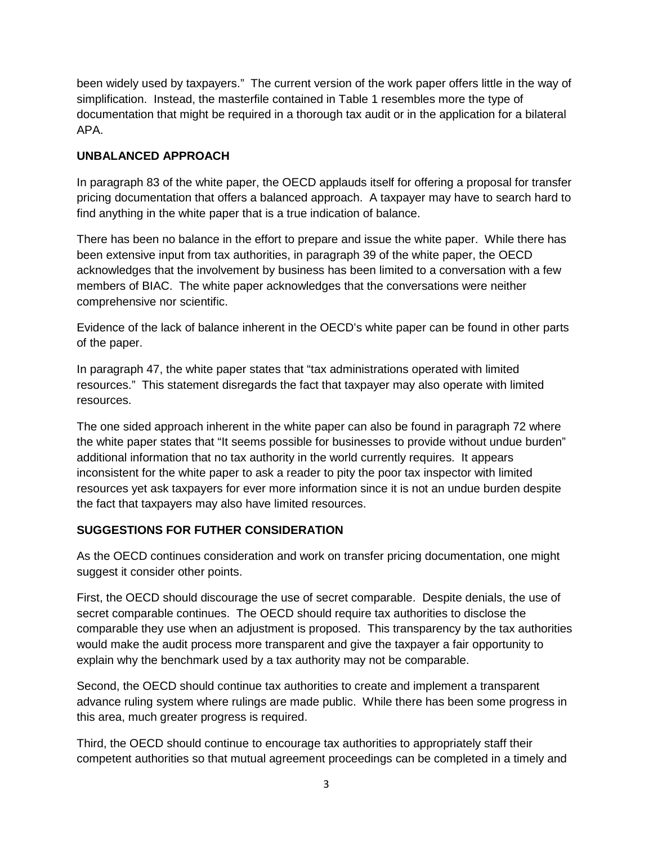been widely used by taxpayers." The current version of the work paper offers little in the way of simplification. Instead, the masterfile contained in Table 1 resembles more the type of documentation that might be required in a thorough tax audit or in the application for a bilateral APA.

# **UNBALANCED APPROACH**

In paragraph 83 of the white paper, the OECD applauds itself for offering a proposal for transfer pricing documentation that offers a balanced approach. A taxpayer may have to search hard to find anything in the white paper that is a true indication of balance.

There has been no balance in the effort to prepare and issue the white paper. While there has been extensive input from tax authorities, in paragraph 39 of the white paper, the OECD acknowledges that the involvement by business has been limited to a conversation with a few members of BIAC. The white paper acknowledges that the conversations were neither comprehensive nor scientific.

Evidence of the lack of balance inherent in the OECD's white paper can be found in other parts of the paper.

In paragraph 47, the white paper states that "tax administrations operated with limited resources." This statement disregards the fact that taxpayer may also operate with limited resources.

The one sided approach inherent in the white paper can also be found in paragraph 72 where the white paper states that "It seems possible for businesses to provide without undue burden" additional information that no tax authority in the world currently requires. It appears inconsistent for the white paper to ask a reader to pity the poor tax inspector with limited resources yet ask taxpayers for ever more information since it is not an undue burden despite the fact that taxpayers may also have limited resources.

# **SUGGESTIONS FOR FUTHER CONSIDERATION**

As the OECD continues consideration and work on transfer pricing documentation, one might suggest it consider other points.

First, the OECD should discourage the use of secret comparable. Despite denials, the use of secret comparable continues. The OECD should require tax authorities to disclose the comparable they use when an adjustment is proposed. This transparency by the tax authorities would make the audit process more transparent and give the taxpayer a fair opportunity to explain why the benchmark used by a tax authority may not be comparable.

Second, the OECD should continue tax authorities to create and implement a transparent advance ruling system where rulings are made public. While there has been some progress in this area, much greater progress is required.

Third, the OECD should continue to encourage tax authorities to appropriately staff their competent authorities so that mutual agreement proceedings can be completed in a timely and